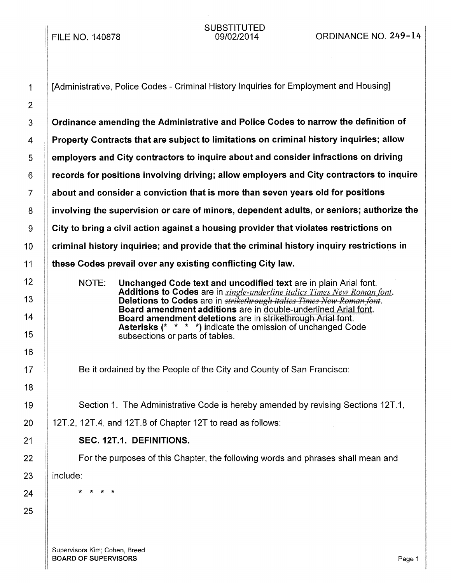FILE NO. 140878

SUBSTITUTED<br>09/02/2014

**S** Cordinance amending the Administrative and Police Codes to narrow the definition of **Property Contracts that are subject to limitations on criminal history inquiries; allow**   $\parallel$  employers and City contractors to inquire about and consider infractions on driving  $\parallel$  records for positions involving driving; allow employers and City contractors to inquire 7 | about and consider a conviction that is more than seven years old for positions || involving the supervision or care of minors, dependent adults, or seniors; authorize the  $9 \parallel$  City to bring a civil action against a housing provider that violates restrictions on  $\parallel$  criminal history inquiries; and provide that the criminal history inquiry restrictions in **these Codes prevail over any existing conflicting City law.** 

> NOTE: Unchanged Code text and uncodified text are in plain Arial font. Additions to Codes are in *single-underline italics Times New Roman font.*  Deletions to Codes are in *strikethrough italics Times New Roman font.*  Board amendment additions are in double-underlined Arial font. Board amendment deletions are in strikethrough Arial font. Asterisks (\* \* \* \*) indicate the omission of unchanged Code subsections or parts of tables.

Be it ordained by the People of the City and County of San Francisco:

Section 1. The Administrative Code is hereby amended by revising Sections 12T.1,

12T.2, 12T.4, and 12T.8 of Chapter 12T to read as follows:

### SEC. 12T.1. DEFINITIONS.

For the purposes of this Chapter, the following words and phrases shall mean and include:

\* \* \* \*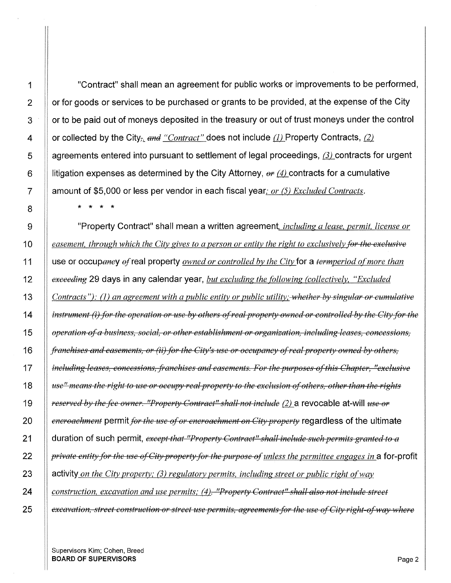**1 2 3 4 5 6 7 8**  9 **10 11 12**  13 **"Contract" shall mean an agreement for public works or improvements to be performed, or for goods or services to be purchased or grants to be provided, at the expense of the City or to be paid out of moneys deposited in the treasury or out of trust moneys under the control or collected by the City<sub>** $\bar{x}$ **</sub> and "Contract" does not include (1) Property Contracts, (2)** agreements entered into pursuant to settlement of legal proceedings, (3) contracts for urgent litigation expenses as determined by the City Attorney,  $\theta r$  (4) contracts for a cumulative **amount of \$5,000 or less per vendor in each fiscal year;** *or* (5) *Excluded Contracts.*  \* \* \* \* **"Property Contract" shall mean a written agreement,** *including a lease, permit, license or easement, through which the City gives to a person or entity the right to exclusively for the exclusive*  **use or occupeney ef real property** *owned or controlled by the City* **for a** *termperiod of more than exceeding* **29 days in any calendar year,** *but excluding the (Ollowing (collectively, "Excluded* 

*Contracts"): (1) an agreement with a public entity or public utility; whether by singular or cumulative instrument (i) for the operation or use by others of real property owned or controlled by the City for the operation afa bttSiness, social, or other establishment or organization, including leases, concessions, franchises and easements, or (ii) for the City's use or occupancy of real property owned by others, including leases, concessions, franchises and easements. For the purposes af this Chapter, "exclusive ttse" means the right to use or occupy real property to the exclusion of others, other than the rights reserved by the fee owner. "Property Contract" shall not include (2)* a revocable at-will *use or encroachment* permit *for the use of or encroachment on City property* regardless of the ultimate **duration of such permit,** *except that "Property Contract" shall inchtde such permits granted* to *a private entity for the use of City property for the purpose of' unless the permittee engages in* **a for-profit activity** *on the City property;* (3) *regulatory permits, including street or public right of way construction, excavation and use permits; (4). "Property Contract" shall also not include street excavation, street construction or street use permits, agreements for the use of City right-of way where* 

Supervisors Kim; Cohen, Breed **BOARD OF SUPERVISORS** Page 2

**14** 

**15** 

**16** 

**17** 

**18** 

**19** 

**20** 

**21** 

**22** 

**23** 

**24**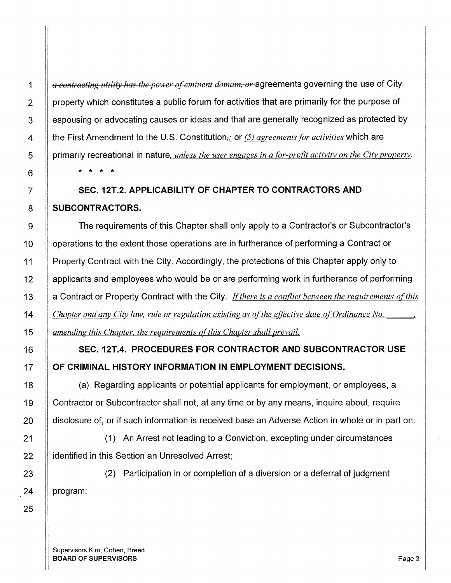*a contracting utility has the power a/eminent domain, or* agreements governing the use of City property which constitutes a public forum for activities that are primarily for the purpose of espousing or advocating causes or ideas and that are generally recognized as protected by the First Amendment to the U.S. Constitution<sub>rie</sub> or (5) *agreements for activities* which are primarily recreational in nature, *unless the user engages in a for-profit activity on the City property.*  \* \* \* \*

## **SEC. 12T.2. APPLICABILITY OF CHAPTER TO CONTRACTORS AND SUBCONTRACTORS.**

The requirements of this Chapter shall only apply to a Contractor's or Subcontractor's operations to the extent those operations are in furtherance of performing a Contract or Property Contract with the City. Accordingly, the protections of this Chapter apply only to applicants and employees who would be or are performing work in furtherance of performing a Contract or Property Contract with the City. *If there is a conflict between the requirements of this Chapter and any City law, rule or regulation existing as of the effective date of Ordinance No. amending this Chapter, the requirements ofthis Chapter shall prevail.* 

## **SEC.12T.4. PROCEDURES FOR CONTRACTOR AND SUBCONTRACTOR USE OF CRIMINAL HISTORY INFORMATION IN EMPLOYMENT DECISIONS.**

(a) Regarding applicants or potential applicants for employment, or employees, a Contractor or Subcontractor shall not, at any time or by any means, inquire about, require disclosure of, or if such information is received base an Adverse Action in whole or in part on:

(1) An Arrest not leading to a Conviction, excepting under circumstances identified in this Section an Unresolved Arrest;

(2) Participation in or completion of a diversion or a deferral of judgment program;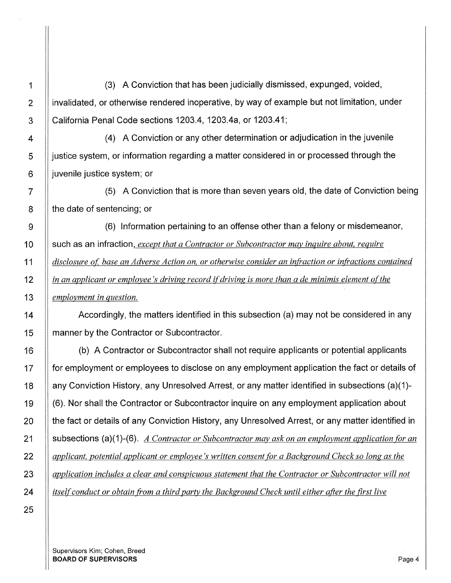1 (3) A Conviction that has been judicially dismissed, expunged, voided, 2 **ignorulial** invalidated, or otherwise rendered inoperative, by way of example but not limitation, under 3 California Penal Code sections 1203.4, 1203.4a, or 1203.41;

4 (4) A Conviction or any other determination or adjudication in the juvenile  $\overline{5}$  || justice system, or information regarding a matter considered in or processed through the  $6$  || juvenile justice system; or

7 (5) A Conviction that is more than seven years old, the date of Conviction being  $8$  | the date of sentencing; or

g (6) Information pertaining to an offense other than a felony or misdemeanor, 10 | such as an infraction, *except that a Contractor or Subcontractor may inquire about, require* 11 *disclosure of, base an Adverse Action on, or otherwise consider an infraction or infractions contained* 12 *in an applicant or employee's driving record if driving is more than a de minimis element of the* 13 *employment in question.* 

14 **Accordingly, the matters identified in this subsection (a) may not be considered in any** 15 | manner by the Contractor or Subcontractor.

16 (b) A Contractor or Subcontractor shall not require applicants or potential applicants 17 | for employment or employees to disclose on any employment application the fact or details of 18 any Conviction History, any Unresolved Arrest, or any matter identified in subsections (a)(1)- 19 (6). Nor shall the Contractor or Subcontractor inquire on any employment application about 20 | the fact or details of any Conviction History, any Unresolved Arrest, or any matter identified in 21 subsections (a)(1 )-(6). *A Contractor or Subcontractor may ask on an employment application {or an*  22 *applicant, potential applicant or employee's written consent {or a Background Check so long as the*  23 *application includes a clear and conspicuous statement that the Contractor or Subcontractor will not* 24 *itself conduct or obtain from a third party the Background Check until either after the first live*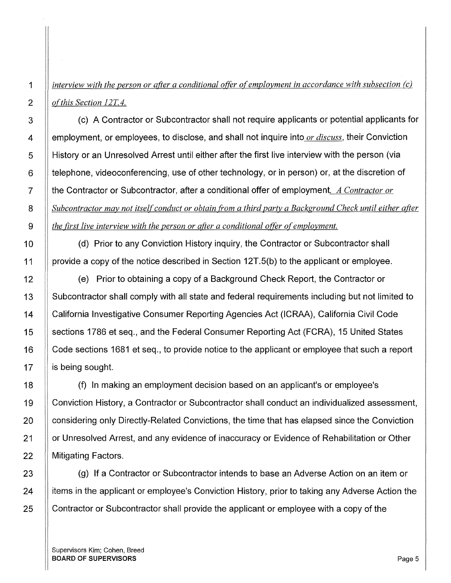1 *interview with the person or after a conditional offer ofemplovment in accordance with subsection (c)*  2 *ofthis Section 12T4.* 

3 (c) A Contractor or Subcontractor shall not require applicants or potential applicants for 4 employment, or employees, to disclose, and shall not inquire into *or discuss,* their Conviction 5 History or an Unresolved Arrest until either after the first live interview with the person (via  $6$  || telephone, videoconferencing, use of other technology, or in person) or, at the discretion of 7 the Contractor or Subcontractor, after a conditional offer of employment. *A Contractor or*  8 **Subcontractor may not itself conduct or obtain from a third party a Background Check until either after** 9 *the first live interview with the person or after a conditional offer of employment.* 

10 | (d) Prior to any Conviction History inquiry, the Contractor or Subcontractor shall 11 **If provide a copy of the notice described in Section 12T.5(b) to the applicant or employee.** 

12 **Example 12** (e) Prior to obtaining a copy of a Background Check Report, the Contractor or 13 Subcontractor shall comply with all state and federal requirements including but not limited to 14 California Investigative Consumer Reporting Agencies Act (ICRAA), California Civil Code 15 | sections 1786 et seq., and the Federal Consumer Reporting Act (FCRA), 15 United States 16 | Code sections 1681 et seq., to provide notice to the applicant or employee that such a report  $17$  || is being sought.

18 (f) In making an employment decision based on an applicant's or employee's 19 Conviction History, a Contractor or Subcontractor shall conduct an individualized assessment, 20 **considering only Directly-Related Convictions, the time that has elapsed since the Conviction** 21 **Step Universolved Arrest, and any evidence of inaccuracy or Evidence of Rehabilitation or Other** 22 || Mitigating Factors.

23 | (g) If a Contractor or Subcontractor intends to base an Adverse Action on an item or  $24$  || items in the applicant or employee's Conviction History, prior to taking any Adverse Action the 25 Contractor or Subcontractor shall provide the applicant or employee with a copy of the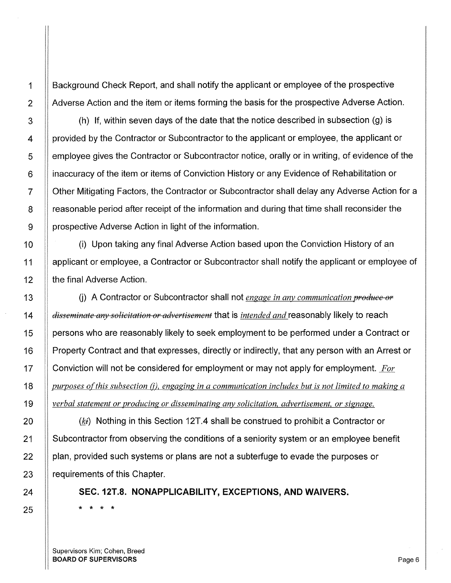Background Check Report, and shall notify the applicant or employee of the prospective Adverse Action and the item or items forming the basis for the prospective Adverse Action.

(h) If, within seven days of the date that the notice described in subsection (g) is provided by the Contractor or Subcontractor to the applicant or employee, the applicant or employee gives the Contractor or Subcontractor notice, orally or in writing, of evidence of the inaccuracy of the item or items of Conviction History or any Evidence of Rehabilitation or Other Mitigating Factors, the Contractor or Subcontractor shall delay any Adverse Action for a reasonable period after receipt of the information and during that time shall reconsider the prospective Adverse Action in light of the information.

(i) Upon taking any final Adverse Action based upon the Conviction History of an applicant or employee, a Contractor or Subcontractor shall notify the applicant or employee of the final Adverse Action.

(i) A Contractor or Subcontractor shall not *engage in any communication produce or disseminate any solicitation or advertisement* that is *intended and* reasonably likely to reach persons who are reasonably likely to seek employment to be performed under a Contract or Property Contract and that expresses, directly or indirectly, that any person with an Arrest or Conviction will not be considered for employment or may not apply for employment. *For purposes of this subsection (j), engaging in a communication includes but is not limited to making a verbal statement or producing or disseminating any solicitation, advertisement, or signage.* 

 $(k<sub>i</sub>)$  Nothing in this Section 12T.4 shall be construed to prohibit a Contractor or Subcontractor from observing the conditions of a seniority system or an employee benefit plan, provided such systems or plans are not a subterfuge to evade the purposes or requirements of this Chapter.

**SEC. 12T.8. NONAPPLICABILITY, EXCEPTIONS, AND WAIVERS.**  \* \* \* \*

Supervisors Kim; Cohen, Breed BOARD OF SUPERVISORS And the state of the state of the state of the state of the state of the state of the state of the state of the state of the state of the state of the state of the state of the state of the state of th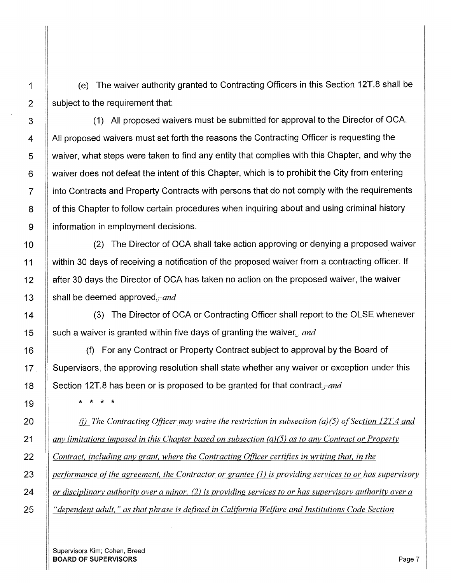(e) The waiver authority granted to Contracting Officers in this Section 12T.8 shall be subject to the requirement that:

(1) All proposed waivers must be submitted for approval to the Director of OCA. All proposed waivers must set forth the reasons the Contracting Officer is requesting the waiver, what steps were taken to find any entity that complies with this Chapter, and why the waiver does not defeat the intent of this Chapter, which is to prohibit the City from entering into Contracts and Property Contracts with persons that do not comply with the requirements of this Chapter to follow certain procedures when inquiring about and using criminal history information in employment decisions.

(2) The Director of OCA shall take action approving or denying a proposed waiver within 30 days of receiving a notification of the proposed waiver from a contracting officer. If after 30 days the Director of OCA has taken no action on the proposed waiver, the waiver shall be deemed approved. $\frac{1}{1-\alpha}$ 

(3) The Director of OCA or Contracting Officer shall report to the OLSE whenever such a waiver is granted within five days of granting the waiver.  $\frac{1}{\sqrt{1-\frac{1}{n}}\sigma}$ 

(f) For any Contract or Property Contract subject to approval by the Board of Supervisors, the approving resolution shall state whether any waiver or exception under this Section 12T.8 has been or is proposed to be granted for that contract.  $\frac{and}{}$ 

\* \* \* \*

*(i)* The Contracting Officer may waive the restriction in subsection (a)(5) of Section 12T.4 and *any limitations imposed in this Chapter based on subsection (a){5) as to any Contract or Property Contract, including any grant. where the Contracting Officer certifies in writing that, in the performance of the agreement, the Contractor or grantee (1) is providing services to or has supervisory or disciplinary authority over a minor, (2) is providing services to or has supervisory authority over a "dependent adult,* " *as that phrase is defined in California Welfare and Institutions Code Section* 

1

2

3

4

5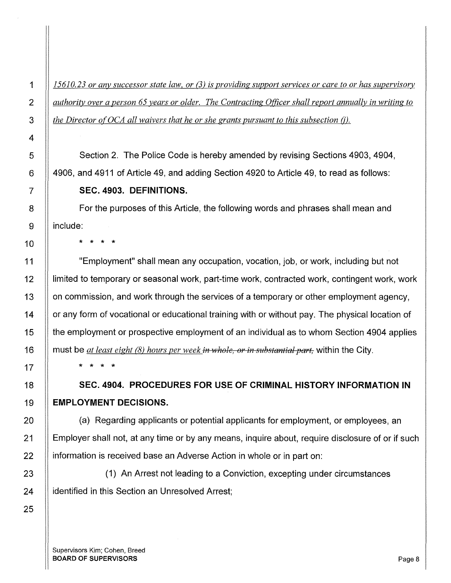1 *15610. 23 or any successor state law, or* (3) *is providing support services or care to or has supervisory*  2 *authority over a person 65 years or older. The Contracting Officer shall report annually in writing to*  3 **the Director of OCA all waivers that he or she grants pursuant to this subsection (j).** 

Section 2. The Police Code is hereby amended by revising Sections 4903, 4904, 4906, and 4911 of Article 49, and adding Section 4920 to Article 49, to read as follows: **SEC. 4903. DEFINITIONS.** 

For the purposes of this Article, the following words and phrases shall mean and include:

\* \* \* \*

"Employment" shall mean any occupation, vocation, job, or work, including but not limited to temporary or seasonal work, part-time work, contracted work, contingent work, work on commission, and work through the services of a temporary or other employment agency, or any form of vocational or educational training with or without pay. The physical location of the employment or prospective employment of an individual as to whom Section 4904 applies must be *at least eight (8) hours per week in whole, or in substantial part,* within the City.

\* \* \* \*

**SEC. 4904. PROCEDURES FOR USE OF CRIMINAL HISTORY INFORMATION IN EMPLOYMENT DECISIONS.** 

(a) Regarding applicants or potential applicants for employment, or employees, an Employer shall not, at any time or by any means, inquire about, require disclosure of or if such information is received base an Adverse Action in whole or in part on:

(1) An Arrest not leading to a Conviction, excepting under circumstances identified in this Section an Unresolved Arrest;

Supervisors Kim; Cohen, Breed BOARD OF SUPERVISORS And the state of the state of the state of the state of the state of the state of the state of the state of the state of the state of the state of the state of the state of the state of the state of th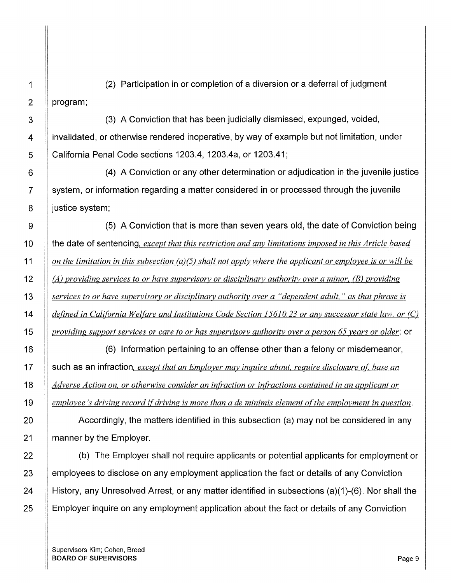1 (2) Participation in or completion of a diversion or a deferral of judgment  $2 \parallel$  program;

3 **(3)** A Conviction that has been judicially dismissed, expunged, voided, 4 **ignorulary** invalidated, or otherwise rendered inoperative, by way of example but not limitation, under 5 California Penal Code sections 1203.4, 1203.4a, or 1203.41;

6 (4) A Conviction or any other determination or adjudication in the juvenile justice 7 system, or information regarding a matter considered in or processed through the juvenile  $8$  || justice system;

9 | (5) A Conviction that is more than seven years old, the date of Conviction being 10 || the date of sentencing, *except that this restriction and any limitations imposed in this Article based on the limitation in this subsection (a){5) shall not apply where the applicant or employee is or will be (A) providing services to or have supervisory or disciplinary authority over a minor,* {B) *providing services to or have supervisory or disciplinary authority over a "dependent adult," as that phrase is defined in California Welfare and Institutions Code Section 15610.23 or any successor state law, or (C) providing support services or care to or has supervisory authority over a person 65 years or older;* or

16 (6) Information pertaining to an offense other than a felony or misdemeanor, 17 such as an infraction, *except that an Employer may inquire about, require disclosure ot: base an*  18 *Adverse Action on, or otherwise consider an infraction or infractions contained in an applicant or*  19 *employee's driving record if driving is more than a de minimis element of the employment in question.* 

20 **Accordingly, the matters identified in this subsection (a) may not be considered in any** 21 **manner by the Employer.** 

22 (b) The Employer shall not require applicants or potential applicants for employment or 23 | employees to disclose on any employment application the fact or details of any Conviction 24 History, any Unresolved Arrest, or any matter identified in subsections (a)(1)-(6). Nor shall the 25 | Employer inquire on any employment application about the fact or details of any Conviction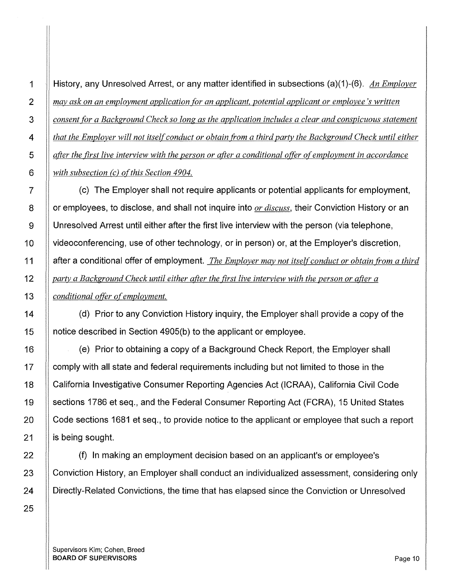1 History, any Unresolved Arrest, or any matter identified in subsections (a)(1)-(6). *An Employer may ask on an employment application for an applicant, potential applicant or employee's written consent for a Background Check so long as the application includes a clear and conspicuous statement that the Employer will not itself conduct or obtain from a third party the Background Check until either after the first live interview with the person or after a conditional offer of employment in accordance with subsection (c) ofthis Section 4904.* 

7 (c) The Employer shall not require applicants or potential applicants for employment, 8 **detach in the interpret or employees**, to disclose, and shall not inquire into *or discuss*, their Conviction History or an 9 Unresolved Arrest until either after the first live interview with the person (via telephone, 10 | videoconferencing, use of other technology, or in person) or, at the Employer's discretion, 11 after a conditional offer of employment. *The Employer may not itself conduct or obtain from a third*  12 *party a Background Check until either after the first live interview with the person or after a*  13 *conditional offer of employment.* 

14 **1** (d) Prior to any Conviction History inquiry, the Employer shall provide a copy of the 15 notice described in Section 4905(b) to the applicant or employee.

16 (e) Prior to obtaining a copy of a Background Check Report, the Employer shall 17 | comply with all state and federal requirements including but not limited to those in the 18 | California Investigative Consumer Reporting Agencies Act (ICRAA), California Civil Code 19 Sections 1786 et seq., and the Federal Consumer Reporting Act (FCRA), 15 United States 20 Code sections 1681 et seq., to provide notice to the applicant or employee that such a report 21  $\parallel$  is being sought.

22 | (f) In making an employment decision based on an applicant's or employee's 23 | Conviction History, an Employer shall conduct an individualized assessment, considering only 24 | Directly-Related Convictions, the time that has elapsed since the Conviction or Unresolved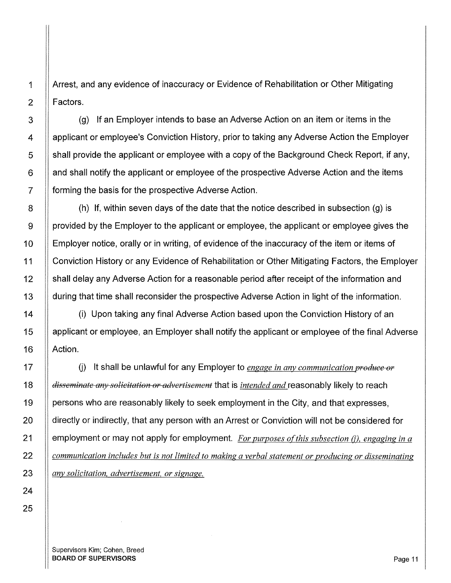1 Arrest, and any evidence of inaccuracy or Evidence of Rehabilitation or Other Mitigating 2 **Factors**.

3 (g) If an Employer intends to base an Adverse Action on an item or items in the 4 | applicant or employee's Conviction History, prior to taking any Adverse Action the Employer  $5 \parallel$  shall provide the applicant or employee with a copy of the Background Check Report, if any,  $6$  || and shall notify the applicant or employee of the prospective Adverse Action and the items  $7$  || forming the basis for the prospective Adverse Action.

 $8$  || (h) If, within seven days of the date that the notice described in subsection (g) is 9 | provided by the Employer to the applicant or employee, the applicant or employee gives the 10  $\parallel$  Employer notice, orally or in writing, of evidence of the inaccuracy of the item or items of 11 Conviction History or any Evidence of Rehabilitation or Other Mitigating Factors, the Employer 12 | shall delay any Adverse Action for a reasonable period after receipt of the information and 13 | during that time shall reconsider the prospective Adverse Action in light of the information.

14 **If the Upon of the Upon taking any final Adverse Action based upon the Conviction History of an** 15 applicant or employee, an Employer shall notify the applicant or employee of the final Adverse 16 | Action.

17 | (i) It shall be unlawful for any Employer to *engage in any communication produce or* 18 *disseminate any solicitation or advertisement* that is *intended and* reasonably likely to reach 19  $\parallel$  persons who are reasonably likely to seek employment in the City, and that expresses, 20 | directly or indirectly, that any person with an Arrest or Conviction will not be considered for 21 employment or may not apply for employment. *For purposes of this subsection (i), engaging in a* 22 *communication includes but is not limited to making a verbal statement or producing or disseminating*  23 *any solicitation, advertisement, or signage.*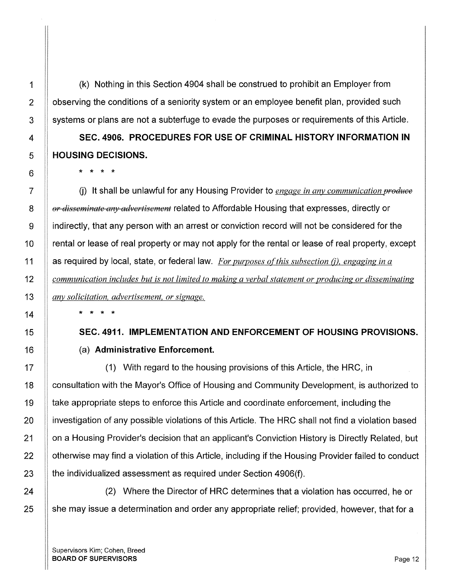(k) Nothing in this Section 4904 shall be construed to prohibit an Employer from observing the conditions of a seniority system or an employee benefit plan, provided such systems or plans are not a subterfuge to evade the purposes or requirements of this Article.

**SEC. 4906. PROCEDURES FOR USE OF CRIMINAL HISTORY INFORMATION IN HOUSING DECISIONS.** 

\* \* \* \*

U) It shall be unlawful for any Housing Provider to *engage in any communication produce or disseminate any advertisement* related to Affordable Housing that expresses, directly or indirectly, that any person with an arrest or conviction record will not be considered for the rental or lease of real property or may not apply for the rental or lease of real property, except as required by local, state, or federal law. *For purposes of this subsection (i), engaging in a communication includes but is not limited to making a verbal statement or producing or disseminating anv solicitation, advertisement, or signage.* 

\* \* \* \*

**SEC. 4911. IMPLEMENTATION AND ENFORCEMENT OF HOUSING PROVISIONS.**  (a) **Administrative Enforcement.** 

(1) With regard to the housing provisions of this Article, the HRC, in consultation with the Mayor's Office of Housing and Community Development, is authorized to take appropriate steps to enforce this Article and coordinate enforcement, including the investigation of any possible violations of this Article. The HRC shall not find a violation based on a Housing Provider's decision that an applicant's Conviction History is Directly Related, but otherwise may find a violation of this Article, including if the Housing Provider failed to conduct the individualized assessment as required under Section 4906(f).

(2) Where the Director of HRC determines that a violation has occurred, he or she may issue a determination and order any appropriate relief; provided, however, that for a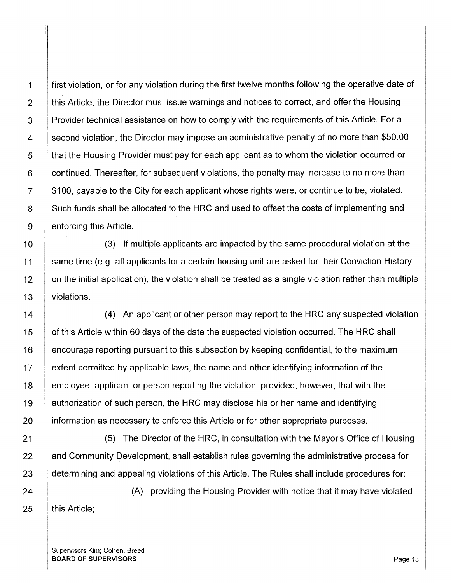1 first violation, or for any violation during the first twelve months following the operative date of  $2 \parallel$  this Article, the Director must issue warnings and notices to correct, and offer the Housing 3 | Provider technical assistance on how to comply with the requirements of this Article. For a 4 | second violation, the Director may impose an administrative penalty of no more than \$50.00 5 **that the Housing Provider must pay for each applicant as to whom the violation occurred or** 6 **F** continued. Thereafter, for subsequent violations, the penalty may increase to no more than  $7 \parallel $100$ , payable to the City for each applicant whose rights were, or continue to be, violated. 8 Such funds shall be allocated to the HRC and used to offset the costs of implementing and  $9 \parallel$  enforcing this Article.

10 **II** (3) If multiple applicants are impacted by the same procedural violation at the 11 Same time (e.g. all applicants for a certain housing unit are asked for their Conviction History 12 | on the initial application), the violation shall be treated as a single violation rather than multiple 13 violations.

14 | (4) An applicant or other person may report to the HRC any suspected violation 15 | of this Article within 60 days of the date the suspected violation occurred. The HRC shall 16 encourage reporting pursuant to this subsection by keeping confidential, to the maximum 17 extent permitted by applicable laws, the name and other identifying information of the 18 employee, applicant or person reporting the violation; provided, however, that with the 19 authorization of such person, the HRC may disclose his or her name and identifying 20 **ignormation as necessary to enforce this Article or for other appropriate purposes.** 

21 (5) The Director of the HRC, in consultation with the Mayor's Office of Housing 22 And Community Development, shall establish rules governing the administrative process for 23 | determining and appealing violations of this Article. The Rules shall include procedures for:

24 (A) providing the Housing Provider with notice that it may have violated  $25$  | this Article;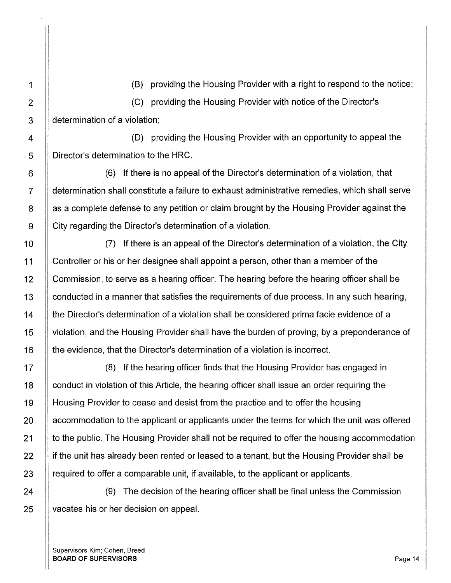1 (B) providing the Housing Provider with a right to respond to the notice;

2 (C) providing the Housing Provider with notice of the Director's  $3$   $\parallel$  determination of a violation;

4 (D) providing the Housing Provider with an opportunity to appeal the 5 | Director's determination to the HRC.

6 (6) If there is no appeal of the Director's determination of a violation, that 7 determination shall constitute a failure to exhaust administrative remedies, which shall serve  $8$  | as a complete defense to any petition or claim brought by the Housing Provider against the 9 City regarding the Director's determination of a violation.

10 | (7) If there is an appeal of the Director's determination of a violation, the City 11 Controller or his or her designee shall appoint a person, other than a member of the 12 | Commission, to serve as a hearing officer. The hearing before the hearing officer shall be 13  $\parallel$  conducted in a manner that satisfies the requirements of due process. In any such hearing, 14 **the Director's determination of a violation shall be considered prima facie evidence of a** 15 violation, and the Housing Provider shall have the burden of proving, by a preponderance of 16 the evidence, that the Director's determination of a violation is incorrect.

17 (8) If the hearing officer finds that the Housing Provider has engaged in 18 | conduct in violation of this Article, the hearing officer shall issue an order requiring the 19 Housing Provider to cease and desist from the practice and to offer the housing 20 | accommodation to the applicant or applicants under the terms for which the unit was offered 21 | to the public. The Housing Provider shall not be required to offer the housing accommodation  $22$  if the unit has already been rented or leased to a tenant, but the Housing Provider shall be  $23$  || required to offer a comparable unit, if available, to the applicant or applicants.

24 | (9) The decision of the hearing officer shall be final unless the Commission 25 | vacates his or her decision on appeal.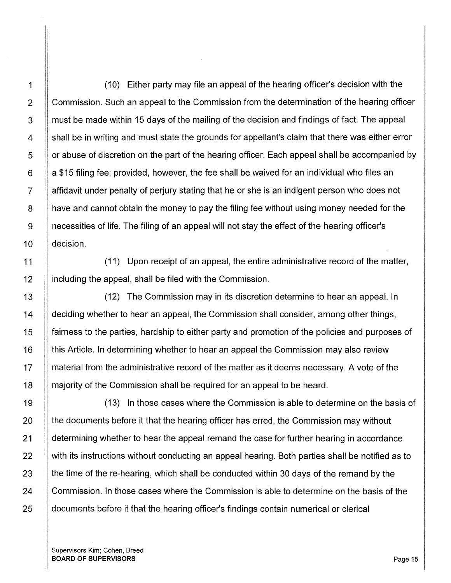11

1 (10) Either party may file an appeal of the hearing officer's decision with the 2 Commission. Such an appeal to the Commission from the determination of the hearing officer 3 If must be made within 15 days of the mailing of the decision and findings of fact. The appeal 4 | shall be in writing and must state the grounds for appellant's claim that there was either error  $5 \parallel$  or abuse of discretion on the part of the hearing officer. Each appeal shall be accompanied by  $6$  || a \$15 filing fee; provided, however, the fee shall be waived for an individual who files an 7 | affidavit under penalty of perjury stating that he or she is an indigent person who does not 8 **have and cannot obtain the money to pay the filing fee without using money needed for the** 9 necessities of life. The filing of an appeal will not stay the effect of the hearing officer's 10 decision.

11 (11) Upon receipt of an appeal, the entire administrative record of the matter, 12 | including the appeal, shall be filed with the Commission.

13 (12) The Commission may in its discretion determine to hear an appeal. In 14 | deciding whether to hear an appeal, the Commission shall consider, among other things, 15 fairness to the parties, hardship to either party and promotion of the policies and purposes of 16 | this Article. In determining whether to hear an appeal the Commission may also review 17 | material from the administrative record of the matter as it deems necessary. A vote of the 18 | majority of the Commission shall be required for an appeal to be heard.

19 (13) In those cases where the Commission is able to determine on the basis of  $20$  || the documents before it that the hearing officer has erred, the Commission may without 21 | determining whether to hear the appeal remand the case for further hearing in accordance 22 | with its instructions without conducting an appeal hearing. Both parties shall be notified as to 23  $\parallel$  the time of the re-hearing, which shall be conducted within 30 days of the remand by the 24 | Commission. In those cases where the Commission is able to determine on the basis of the 25 | documents before it that the hearing officer's findings contain numerical or clerical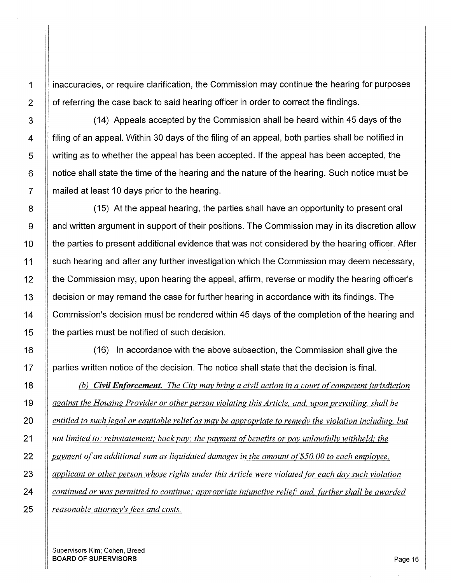1 | inaccuracies, or require clarification, the Commission may continue the hearing for purposes 2 | of referring the case back to said hearing officer in order to correct the findings.

3 | (14) Appeals accepted by the Commission shall be heard within 45 days of the 4 | filing of an appeal. Within 30 days of the filing of an appeal, both parties shall be notified in  $5 \parallel$  writing as to whether the appeal has been accepted. If the appeal has been accepted, the  $6$  || notice shall state the time of the hearing and the nature of the hearing. Such notice must be  $7 \parallel$  mailed at least 10 days prior to the hearing.

8 (15) At the appeal hearing, the parties shall have an opportunity to present oral 9 | and written argument in support of their positions. The Commission may in its discretion allow 10  $\parallel$  the parties to present additional evidence that was not considered by the hearing officer. After 11 | such hearing and after any further investigation which the Commission may deem necessary, 12 | the Commission may, upon hearing the appeal, affirm, reverse or modify the hearing officer's 13 | decision or may remand the case for further hearing in accordance with its findings. The 14 | Commission's decision must be rendered within 45 days of the completion of the hearing and 15 | the parties must be notified of such decision.

16 (16) In accordance with the above subsection, the Commission shall give the 17 | | parties written notice of the decision. The notice shall state that the decision is final.

*(b) Civil Enforcement. The City may bring a civil action in a court of competent jurisdiction against the Housing Provider or other person violating this Article, and, upon prevailing, shall be entitled to such legal or equitable relief as may be appropriate to remedy the violation including, but inot limited to: reinstatement; back pay; the payment of benefits or pay unlawfully withheld; the payment ofan additional sum as liquidated damages in the amount of\$50.00 to each employee, applicant or other person whose rights under this Article were violated for each day such violation continued or was permitted to continue; appropriate injunctive relief; and, further shall be awarded reasonable attorney's fees and costs.*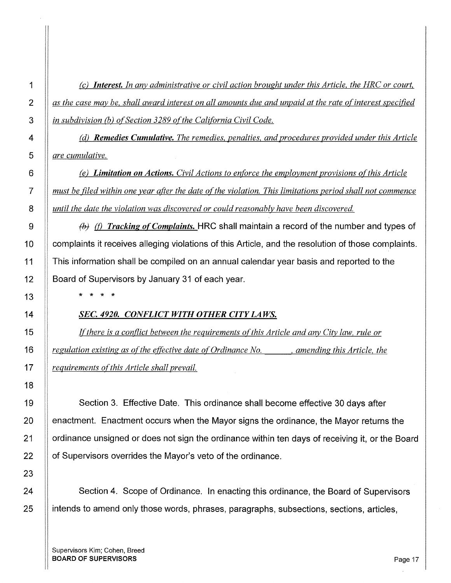*(c) Interest. In any administrative or civil action brought under this Article, the HRC or court, as the case may be, shall award interest on all amounts due and unpaid at the rate ofinterest specified in subdivision (b) of Section 3289 of the California Civil Code.* 

*(d) Remedies Cumulative. The remedies, penalties, and procedures provided under this Article are cumulative.* 

*(e)* Limitation on Actions. Civil Actions to enforce the employment provisions of this Article *must be filed within one year after the date of the violation. This limitations period shall not commence until the date the violation was discovered or could reasonably have been discovered.* 

fbf *(f) Tracking of Complaints.* HRC shall maintain a record of the number and types of complaints it receives alleging violations of this Article, and the resolution of those complaints. This information shall be compiled on an annual calendar year basis and reported to the Board of Supervisors by January 31 of each year.

\* \* \* \*

### *SEC. 4920. CONFLICT WITH OTHER CITY LAWS.*

If there is a conflict between the requirements of this Article and any City law, rule or *regulation existing as ofthe effective date of Ordinance No.* , *amending this Article, the*  17 *<u>equirements of this Article shall prevail.*</u>

19 | Section 3. Effective Date. This ordinance shall become effective 30 days after 20 **enactment.** Enactment occurs when the Mayor signs the ordinance, the Mayor returns the 21 | ordinance unsigned or does not sign the ordinance within ten days of receiving it, or the Board 22 | of Supervisors overrides the Mayor's veto of the ordinance.

24 Section 4. Scope of Ordinance. In enacting this ordinance, the Board of Supervisors  $25$  || intends to amend only those words, phrases, paragraphs, subsections, sections, articles,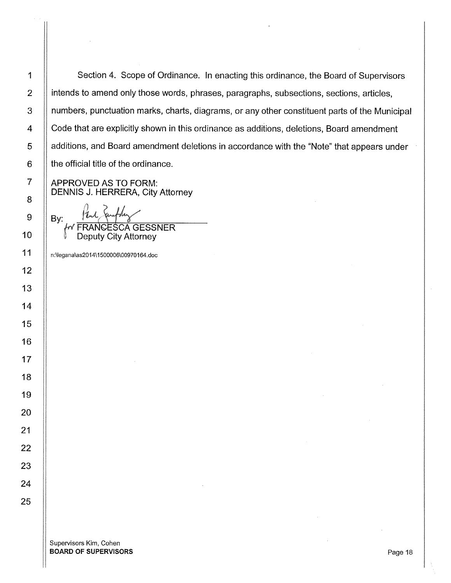Section 4. Scope of Ordinance. In enacting this ordinance, the Board of Supervisors intends to amend only those words, phrases, paragraphs, subsections, sections, articles, numbers, punctuation marks, charts, diagrams, or any other constituent parts of the Municipal Code that are explicitly shown in this ordinance as additions, deletions, Board amendment additions, and Board amendment deletions in accordance with the "Note" that appears under the official title of the ordinance.

APPROVED AS TO FORM: DENNIS J. HERRERA, City Attorney

By: Park Sunfly<br>FRANCESCA GESSNER

Deputy City Attorney

n:\legana\as2014\1500006\00970164.doc